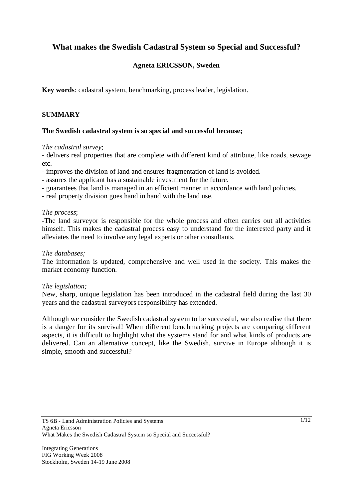# **What makes the Swedish Cadastral System so Special and Successful?**

# **Agneta ERICSSON, Sweden**

**Key words**: cadastral system, benchmarking, process leader, legislation.

## **SUMMARY**

### **The Swedish cadastral system is so special and successful because;**

### *The cadastral survey*;

- delivers real properties that are complete with different kind of attribute, like roads, sewage etc.

- improves the division of land and ensures fragmentation of land is avoided.
- assures the applicant has a sustainable investment for the future.
- guarantees that land is managed in an efficient manner in accordance with land policies.
- real property division goes hand in hand with the land use.

### *The process*;

-The land surveyor is responsible for the whole process and often carries out all activities himself. This makes the cadastral process easy to understand for the interested party and it alleviates the need to involve any legal experts or other consultants.

### *The databases;*

The information is updated, comprehensive and well used in the society. This makes the market economy function.

### *The legislation;*

New, sharp, unique legislation has been introduced in the cadastral field during the last 30 years and the cadastral surveyors responsibility has extended.

Although we consider the Swedish cadastral system to be successful, we also realise that there is a danger for its survival! When different benchmarking projects are comparing different aspects, it is difficult to highlight what the systems stand for and what kinds of products are delivered. Can an alternative concept, like the Swedish, survive in Europe although it is simple, smooth and successful?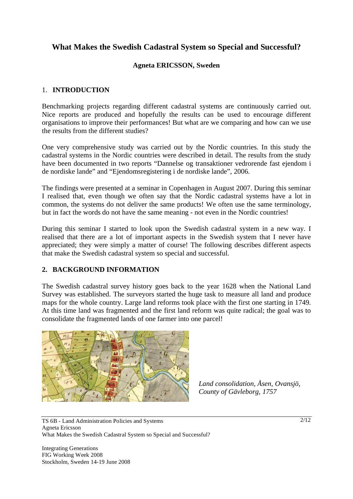# **What Makes the Swedish Cadastral System so Special and Successful?**

### **Agneta ERICSSON, Sweden**

## 1. **INTRODUCTION**

Benchmarking projects regarding different cadastral systems are continuously carried out. Nice reports are produced and hopefully the results can be used to encourage different organisations to improve their performances! But what are we comparing and how can we use the results from the different studies?

One very comprehensive study was carried out by the Nordic countries. In this study the cadastral systems in the Nordic countries were described in detail. The results from the study have been documented in two reports "Dannelse og transaktioner vedrorende fast ejendom i de nordiske lande" and "Ejendomsregistering i de nordiske lande", 2006.

The findings were presented at a seminar in Copenhagen in August 2007. During this seminar I realised that, even though we often say that the Nordic cadastral systems have a lot in common, the systems do not deliver the same products! We often use the same terminology, but in fact the words do not have the same meaning - not even in the Nordic countries!

During this seminar I started to look upon the Swedish cadastral system in a new way. I realised that there are a lot of important aspects in the Swedish system that I never have appreciated; they were simply a matter of course! The following describes different aspects that make the Swedish cadastral system so special and successful.

### **2. BACKGROUND INFORMATION**

The Swedish cadastral survey history goes back to the year 1628 when the National Land Survey was established. The surveyors started the huge task to measure all land and produce maps for the whole country. Large land reforms took place with the first one starting in 1749. At this time land was fragmented and the first land reform was quite radical; the goal was to consolidate the fragmented lands of one farmer into one parcel!



*Land consolidation, Åsen, Ovansjö, County of Gävleborg, 1757*

TS 6B - Land Administration Policies and Systems Agneta Ericsson What Makes the Swedish Cadastral System so Special and Successful?

Integrating Generations FIG Working Week 2008 Stockholm, Sweden 14-19 June 2008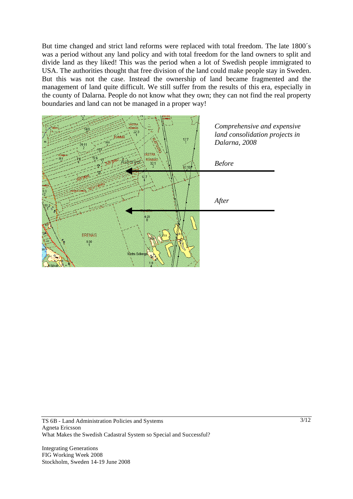But time changed and strict land reforms were replaced with total freedom. The late 1800´s was a period without any land policy and with total freedom for the land owners to split and divide land as they liked! This was the period when a lot of Swedish people immigrated to USA. The authorities thought that free division of the land could make people stay in Sweden. But this was not the case. Instead the ownership of land became fragmented and the management of land quite difficult. We still suffer from the results of this era, especially in the county of Dalarna. People do not know what they own; they can not find the real property boundaries and land can not be managed in a proper way!

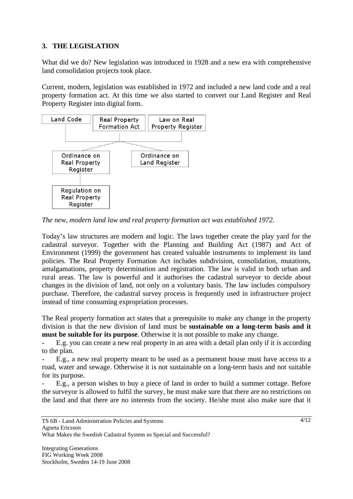## **3. THE LEGISLATION**

What did we do? New legislation was introduced in 1928 and a new era with comprehensive land consolidation projects took place.

Current, modern, legislation was established in 1972 and included a new land code and a real property formation act. At this time we also started to convert our Land Register and Real Property Register into digital form.



*The new, modern land law and real property formation act was established 1972.* 

Today's law structures are modern and logic. The laws together create the play yard for the cadastral surveyor. Together with the Planning and Building Act (1987) and Act of Environment (1999) the government has created valuable instruments to implement its land policies. The Real Property Formation Act includes subdivision, consolidation, mutations, amalgamations, property determination and registration. The law is valid in both urban and rural areas. The law is powerful and it authorises the cadastral surveyor to decide about changes in the division of land, not only on a voluntary basis. The law includes compulsory purchase. Therefore, the cadastral survey process is frequently used in infrastructure project instead of time consuming expropriation processes.

The Real property formation act states that a prerequisite to make any change in the property division is that the new division of land must be **sustainable on a long-term basis and it must be suitable for its purpose**. Otherwise it is not possible to make any change.

E.g. you can create a new real property in an area with a detail plan only if it is according to the plan.

E.g., a new real property meant to be used as a permanent house must have access to a road, water and sewage. Otherwise it is not sustainable on a long-term basis and not suitable for its purpose.

- E.g., a person wishes to buy a piece of land in order to build a summer cottage. Before the surveyor is allowed to fulfil the survey, he must make sure that there are no restrictions on the land and that there are no interests from the society. He/she must also make sure that it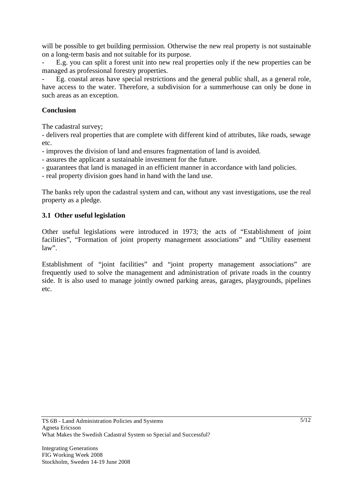will be possible to get building permission. Otherwise the new real property is not sustainable on a long-term basis and not suitable for its purpose.

- E.g. you can split a forest unit into new real properties only if the new properties can be managed as professional forestry properties.

Eg. coastal areas have special restrictions and the general public shall, as a general role, have access to the water. Therefore, a subdivision for a summerhouse can only be done in such areas as an exception.

### **Conclusion**

The cadastral survey;

- delivers real properties that are complete with different kind of attributes, like roads, sewage etc.

- improves the division of land and ensures fragmentation of land is avoided.

- assures the applicant a sustainable investment for the future.

- guarantees that land is managed in an efficient manner in accordance with land policies.

- real property division goes hand in hand with the land use.

The banks rely upon the cadastral system and can, without any vast investigations, use the real property as a pledge.

## **3.1 Other useful legislation**

Other useful legislations were introduced in 1973; the acts of "Establishment of joint facilities", "Formation of joint property management associations" and "Utility easement  $law$ ".

Establishment of "joint facilities" and "joint property management associations" are frequently used to solve the management and administration of private roads in the country side. It is also used to manage jointly owned parking areas, garages, playgrounds, pipelines etc.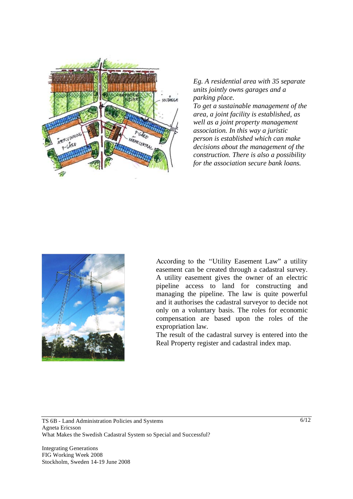

*Eg. A residential area with 35 separate units jointly owns garages and a parking place.* 

*To get a sustainable management of the area, a joint facility is established, as well as a joint property management association. In this way a juristic person is established which can make decisions about the management of the construction. There is also a possibility for the association secure bank loans.* 



According to the "Utility Easement Law" a utility easement can be created through a cadastral survey. A utility easement gives the owner of an electric pipeline access to land for constructing and managing the pipeline. The law is quite powerful and it authorises the cadastral surveyor to decide not only on a voluntary basis. The roles for economic compensation are based upon the roles of the expropriation law.

The result of the cadastral survey is entered into the Real Property register and cadastral index map.

TS 6B - Land Administration Policies and Systems Agneta Ericsson What Makes the Swedish Cadastral System so Special and Successful?

Integrating Generations FIG Working Week 2008 Stockholm, Sweden 14-19 June 2008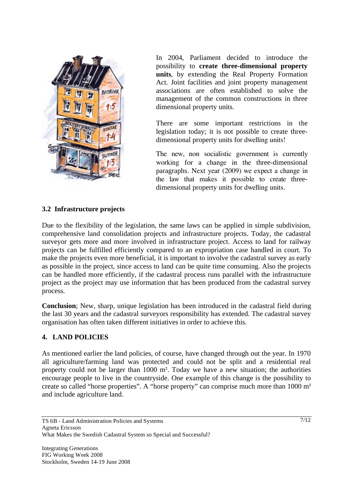

In 2004, Parliament decided to introduce the possibility to **create three-dimensional property units**, by extending the Real Property Formation Act. Joint facilities and joint property management associations are often established to solve the management of the common constructions in three dimensional property units.

There are some important restrictions in the legislation today; it is not possible to create threedimensional property units for dwelling units!

The new, non socialistic government is currently working for a change in the three-dimensional paragraphs. Next year (2009) we expect a change in the law that makes it possible to create threedimensional property units for dwelling units.

#### **3.2 Infrastructure projects**

Due to the flexibility of the legislation, the same laws can be applied in simple subdivision, comprehensive land consolidation projects and infrastructure projects. Today, the cadastral surveyor gets more and more involved in infrastructure project. Access to land for railway projects can be fulfilled efficiently compared to an expropriation case handled in court. To make the projects even more beneficial, it is important to involve the cadastral survey as early as possible in the project, since access to land can be quite time consuming. Also the projects can be handled more efficiently, if the cadastral process runs parallel with the infrastructure project as the project may use information that has been produced from the cadastral survey process.

**Conclusion**; New, sharp, unique legislation has been introduced in the cadastral field during the last 30 years and the cadastral surveyors responsibility has extended. The cadastral survey organisation has often taken different initiatives in order to achieve this.

#### **4. LAND POLICIES**

As mentioned earlier the land policies, of course, have changed through out the year. In 1970 all agriculture/farming land was protected and could not be split and a residential real property could not be larger than  $1000 \text{ m}^2$ . Today we have a new situation; the authorities encourage people to live in the countryside. One example of this change is the possibility to create so called "horse properties". A "horse property" can comprise much more than 1000 m and include agriculture land.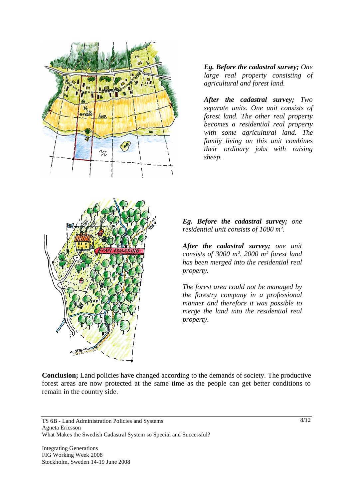

*Eg. Before the cadastral survey; One large real property consisting of agricultural and forest land.* 

*After the cadastral survey; Two separate units. One unit consists of forest land. The other real property becomes a residential real property with some agricultural land. The family living on this unit combines their ordinary jobs with raising sheep.* 



*Eg. Before the cadastral survey; one residential unit consists of 1000 m.*

*After the cadastral survey; one unit consists of 3000 m. 2000 m forest land has been merged into the residential real property.* 

*The forest area could not be managed by the forestry company in a professional manner and therefore it was possible to merge the land into the residential real property*.

**Conclusion;** Land policies have changed according to the demands of society. The productive forest areas are now protected at the same time as the people can get better conditions to remain in the country side.

TS 6B - Land Administration Policies and Systems Agneta Ericsson What Makes the Swedish Cadastral System so Special and Successful?

Integrating Generations FIG Working Week 2008 Stockholm, Sweden 14-19 June 2008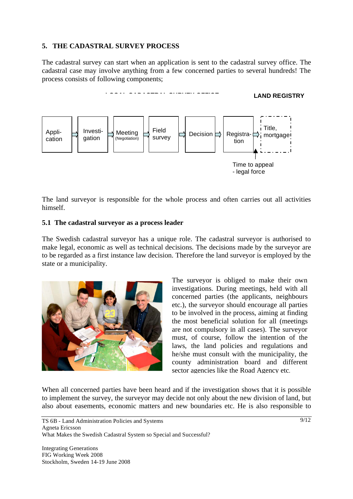## **5. THE CADASTRAL SURVEY PROCESS**

The cadastral survey can start when an application is sent to the cadastral survey office. The cadastral case may involve anything from a few concerned parties to several hundreds! The process consists of following components;



The land surveyor is responsible for the whole process and often carries out all activities himself.

#### **5.1 The cadastral surveyor as a process leader**

The Swedish cadastral surveyor has a unique role. The cadastral surveyor is authorised to make legal, economic as well as technical decisions. The decisions made by the surveyor are to be regarded as a first instance law decision. Therefore the land surveyor is employed by the state or a municipality.



The surveyor is obliged to make their own investigations. During meetings, held with all concerned parties (the applicants, neighbours etc.), the surveyor should encourage all parties to be involved in the process, aiming at finding the most beneficial solution for all (meetings are not compulsory in all cases). The surveyor must, of course, follow the intention of the laws, the land policies and regulations and he/she must consult with the municipality, the county administration board and different sector agencies like the Road Agency etc.

When all concerned parties have been heard and if the investigation shows that it is possible to implement the survey, the surveyor may decide not only about the new division of land, but also about easements, economic matters and new boundaries etc. He is also responsible to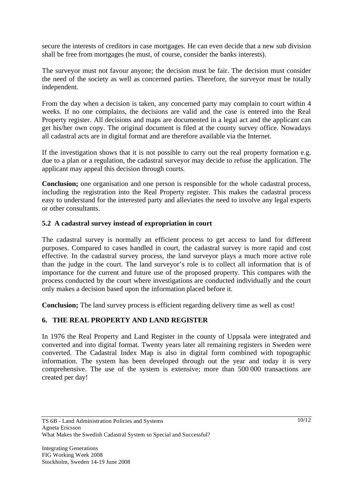secure the interests of creditors in case mortgages. He can even decide that a new sub division shall be free from mortgages (he must, of course, consider the banks interests).

The surveyor must not favour anyone; the decision must be fair. The decision must consider the need of the society as well as concerned parties. Therefore, the surveyor must be totally independent.

From the day when a decision is taken, any concerned party may complain to court within 4 weeks. If no one complains, the decisions are valid and the case is entered into the Real Property register. All decisions and maps are documented in a legal act and the applicant can get his/her own copy. The original document is filed at the county survey office. Nowadays all cadastral acts are in digital format and are therefore available via the Internet.

If the investigation shows that it is not possible to carry out the real property formation e.g. due to a plan or a regulation, the cadastral surveyor may decide to refuse the application. The applicant may appeal this decision through courts.

**Conclusion;** one organisation and one person is responsible for the whole cadastral process, including the registration into the Real Property register. This makes the cadastral process easy to understand for the interested party and alleviates the need to involve any legal experts or other consultants.

### **5.2 A cadastral survey instead of expropriation in court**

The cadastral survey is normally an efficient process to get access to land for different purposes. Compared to cases handled in court, the cadastral survey is more rapid and cost effective. In the cadastral survey process, the land surveyor plays a much more active role than the judge in the court. The land surveyor's role is to collect all information that is of importance for the current and future use of the proposed property. This compares with the process conducted by the court where investigations are conducted individually and the court only makes a decision based upon the information placed before it.

**Conclusion;** The land survey process is efficient regarding delivery time as well as cost!

## **6. THE REAL PROPERTY AND LAND REGISTER**

In 1976 the Real Property and Land Register in the county of Uppsala were integrated and converted and into digital format. Twenty years later all remaining registers in Sweden were converted. The Cadastral Index Map is also in digital form combined with topographic information. The system has been developed through out the year and today it is very comprehensive. The use of the system is extensive; more than 500 000 transactions are created per day!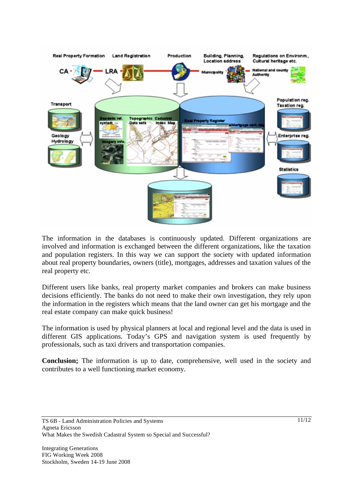

The information in the databases is continuously updated. Different organizations are involved and information is exchanged between the different organizations, like the taxation and population registers. In this way we can support the society with updated information about real property boundaries, owners (title), mortgages, addresses and taxation values of the real property etc.

Different users like banks, real property market companies and brokers can make business decisions efficiently. The banks do not need to make their own investigation, they rely upon the information in the registers which means that the land owner can get his mortgage and the real estate company can make quick business!

The information is used by physical planners at local and regional level and the data is used in different GIS applications. Today's GPS and navigation system is used frequently by professionals, such as taxi drivers and transportation companies.

**Conclusion;** The information is up to date, comprehensive, well used in the society and contributes to a well functioning market economy.